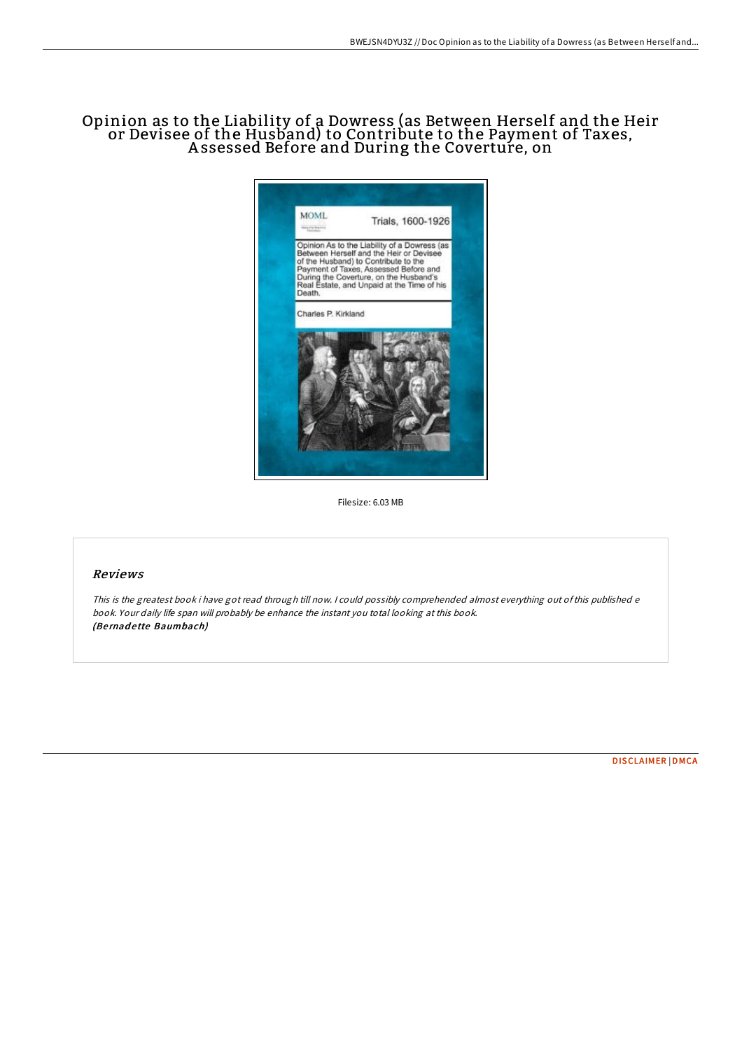## Opinion as to the Liability of a Dowress (as Between Herself and the Heir or Devisee of the Husband) to Contribute to the Payment of Taxes, A ssessed Before and During the Coverture, on



Filesize: 6.03 MB

## Reviews

This is the greatest book i have got read through till now. <sup>I</sup> could possibly comprehended almost everything out ofthis published <sup>e</sup> book. Your daily life span will probably be enhance the instant you total looking at this book. (Be rnad <sup>e</sup> tte Baumbach)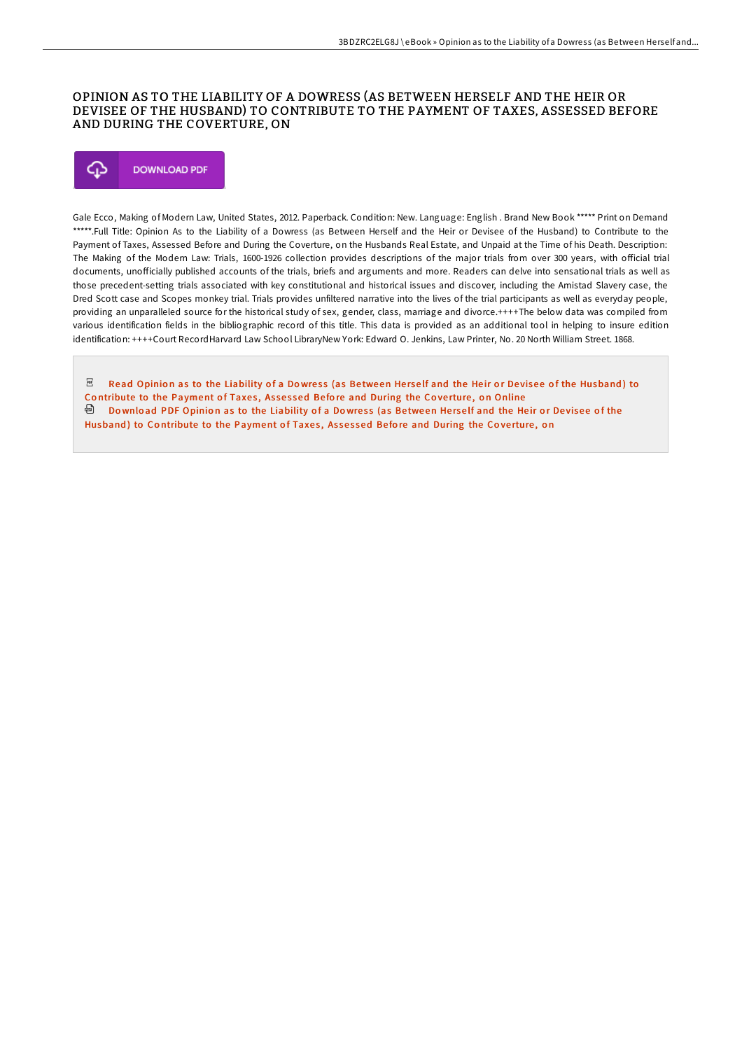### OPINION AS TO THE LIABILITY OF A DOWRESS (AS BETWEEN HERSELF AND THE HEIR OR DEVISEE OF THE HUSBAND) TO CONTRIBUTE TO THE PAYMENT OF TAXES, ASSESSED BEFORE AND DURING THE COVERTURE, ON

# ঞ **DOWNLOAD PDF**

Gale Ecco, Making of Modern Law, United States, 2012. Paperback. Condition: New. Language: English . Brand New Book \*\*\*\*\* Print on Demand \*\*\*\*\*.Full Title: Opinion As to the Liability of a Dowress (as Between Herself and the Heir or Devisee of the Husband) to Contribute to the Payment of Taxes, Assessed Before and During the Coverture, on the Husbands Real Estate, and Unpaid at the Time of his Death. Description: The Making of the Modern Law: Trials, 1600-1926 collection provides descriptions of the major trials from over 300 years, with official trial documents, unofficially published accounts of the trials, briefs and arguments and more. Readers can delve into sensational trials as well as those precedent-setting trials associated with key constitutional and historical issues and discover, including the Amistad Slavery case, the Dred Scott case and Scopes monkey trial. Trials provides unfiltered narrative into the lives of the trial participants as well as everyday people, providing an unparalleled source for the historical study of sex, gender, class, marriage and divorce.++++The below data was compiled from various identification fields in the bibliographic record of this title. This data is provided as an additional tool in helping to insure edition identification: ++++Court RecordHarvard Law School LibraryNew York: Edward O. Jenkins, Law Printer, No. 20 North William Street. 1868.

 $\mathbb E$  Read Opinion as to the Liability of a Dowress (as Between Herself and the Heir or Devisee of the Husband) to Contribute to the [Payment](http://almighty24.tech/opinion-as-to-the-liability-of-a-dowress-as-betw.html) of Taxes, Assessed Before and During the Coverture, on Online <sup>回</sup> Download PDF Opinion as to the Liability of a Dowress (as Between Herself and the Heir or Devisee of the Husband) to Contribute to the [Payment](http://almighty24.tech/opinion-as-to-the-liability-of-a-dowress-as-betw.html) of Taxes, Assessed Before and During the Coverture, on